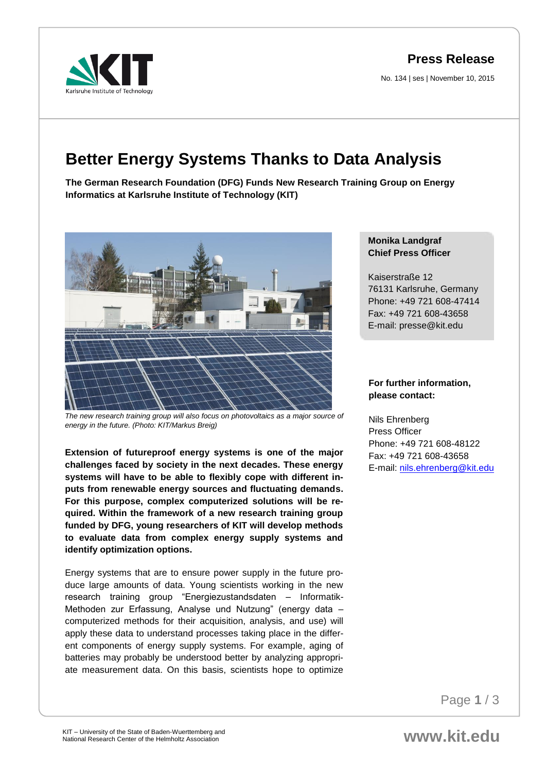arkruhe Institute of Technology

## **Press Release**

No. 134 | ses | November 10, 2015

# **Better Energy Systems Thanks to Data Analysis**

**The German Research Foundation (DFG) Funds New Research Training Group on Energy Informatics at Karlsruhe Institute of Technology (KIT)**



*The new research training group will also focus on photovoltaics as a major source of energy in the future. (Photo: KIT/Markus Breig)*

**Extension of futureproof energy systems is one of the major challenges faced by society in the next decades. These energy systems will have to be able to flexibly cope with different inputs from renewable energy sources and fluctuating demands. For this purpose, complex computerized solutions will be required. Within the framework of a new research training group funded by DFG, young researchers of KIT will develop methods to evaluate data from complex energy supply systems and identify optimization options.** 

Energy systems that are to ensure power supply in the future produce large amounts of data. Young scientists working in the new research training group "Energiezustandsdaten – Informatik-Methoden zur Erfassung, Analyse und Nutzung" (energy data – computerized methods for their acquisition, analysis, and use) will apply these data to understand processes taking place in the different components of energy supply systems. For example, aging of batteries may probably be understood better by analyzing appropriate measurement data. On this basis, scientists hope to optimize

#### **Monika Landgraf Chief Press Officer**

Kaiserstraße 12 76131 Karlsruhe, Germany Phone: +49 721 608-47414 Fax: +49 721 608-43658 E-mail: presse@kit.edu

#### **For further information, please contact:**

Nils Ehrenberg Press Officer Phone: +49 721 608-48122 Fax: +49 721 608-43658 E-mail: [nils.ehrenberg@kit.edu](mailto:nils.ehrenberg@kit.edu)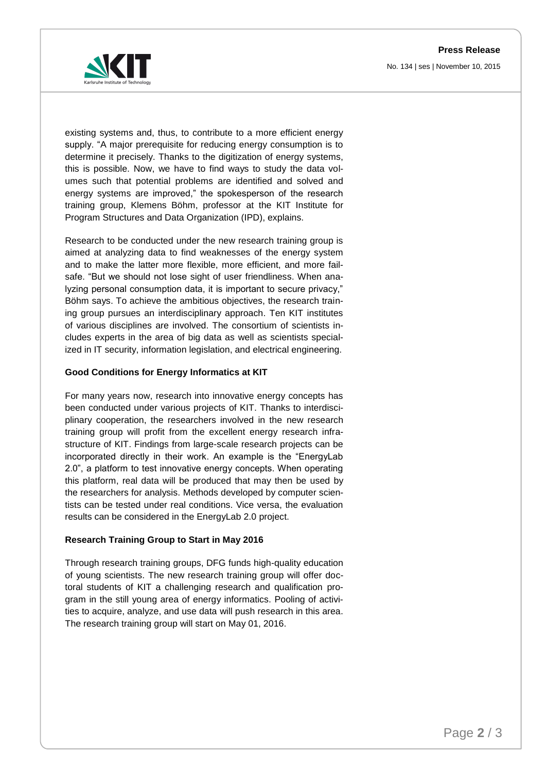**Press Release** No. 134 | ses | November 10, 2015



existing systems and, thus, to contribute to a more efficient energy supply. "A major prerequisite for reducing energy consumption is to determine it precisely. Thanks to the digitization of energy systems, this is possible. Now, we have to find ways to study the data volumes such that potential problems are identified and solved and energy systems are improved," the spokesperson of the research training group, Klemens Böhm, professor at the KIT Institute for Program Structures and Data Organization (IPD), explains.

Research to be conducted under the new research training group is aimed at analyzing data to find weaknesses of the energy system and to make the latter more flexible, more efficient, and more failsafe. "But we should not lose sight of user friendliness. When analyzing personal consumption data, it is important to secure privacy," Böhm says. To achieve the ambitious objectives, the research training group pursues an interdisciplinary approach. Ten KIT institutes of various disciplines are involved. The consortium of scientists includes experts in the area of big data as well as scientists specialized in IT security, information legislation, and electrical engineering.

### **Good Conditions for Energy Informatics at KIT**

For many years now, research into innovative energy concepts has been conducted under various projects of KIT. Thanks to interdisciplinary cooperation, the researchers involved in the new research training group will profit from the excellent energy research infrastructure of KIT. Findings from large-scale research projects can be incorporated directly in their work. An example is the "EnergyLab 2.0", a platform to test innovative energy concepts. When operating this platform, real data will be produced that may then be used by the researchers for analysis. Methods developed by computer scientists can be tested under real conditions. Vice versa, the evaluation results can be considered in the EnergyLab 2.0 project.

#### **Research Training Group to Start in May 2016**

Through research training groups, DFG funds high-quality education of young scientists. The new research training group will offer doctoral students of KIT a challenging research and qualification program in the still young area of energy informatics. Pooling of activities to acquire, analyze, and use data will push research in this area. The research training group will start on May 01, 2016.